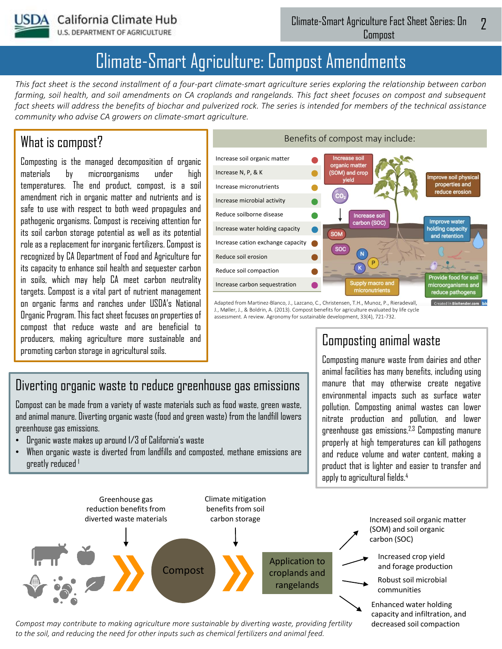

**U.S. DEPARTMENT OF AGRICULTURE** 

# Climate-Smart Agriculture: Compost Amendments

*This fact sheet is the second installment of a four-part climate-smart agriculture series exploring the relationship between carbon farming, soil health, and soil amendments on CA croplands and rangelands. This fact sheet focuses on compost and subsequent*  fact sheets will address the benefits of biochar and pulverized rock. The series is intended for members of the technical assistance *community who advise CA growers on climate-smart agriculture.* 

#### What is compost?

Composting is the managed decomposition of organic materials by microorganisms under high temperatures. The end product, compost, is a soil amendment rich in organic matter and nutrients and is safe to use with respect to both weed propagules and pathogenic organisms. Compost is receiving attention for its soil carbon storage potential as well as its potential role as a replacement for inorganic fertilizers. Compost is recognized by CA Department of Food and Agriculture for its capacity to enhance soil health and sequester carbon in soils, which may help CA meet carbon neutrality targets. Compost is a vital part of nutrient management on organic farms and ranches under USDA's National Organic Program. This fact sheet focuses on properties of compost that reduce waste and are beneficial to producers, making agriculture more sustainable and promoting carbon storage in agricultural soils.



Adapted from Martinez-Blanco, J., Lazcano, C., Christensen, T.H., Munoz, P., Rieradevall, J., Møller, J., & Boldrin, A. (2013). Compost benefits for agriculture evaluated by life cycle assessment. A review. Agronomy for sustainable development, 33(4), 721-732.

## Diverting organic waste to reduce greenhouse gas emissions

Compost can be made from a variety of waste materials such as food waste, green waste, and animal manure. Diverting organic waste (food and green waste) from the landfill lowers greenhouse gas emissions.

- Organic waste makes up around 1/3 of California's waste
- When organic waste is diverted from landfills and composted, methane emissions are greatly reduced <sup>1</sup>

### Composting animal waste

Composting manure waste from dairies and other animal facilities has many benefits, including using manure that may otherwise create negative environmental impacts such as surface water pollution. Composting animal wastes can lower nitrate production and pollution, and lower greenhouse gas emissions.2,3 Composting manure properly at high temperatures can kill pathogens and reduce volume and water content, making a product that is lighter and easier to transfer and apply to agricultural fields.<sup>4</sup>

decreased soil compaction



*Compost may contribute to making agriculture more sustainable by diverting waste, providing fertility to the soil, and reducing the need for other inputs such as chemical fertilizers and animal feed.*